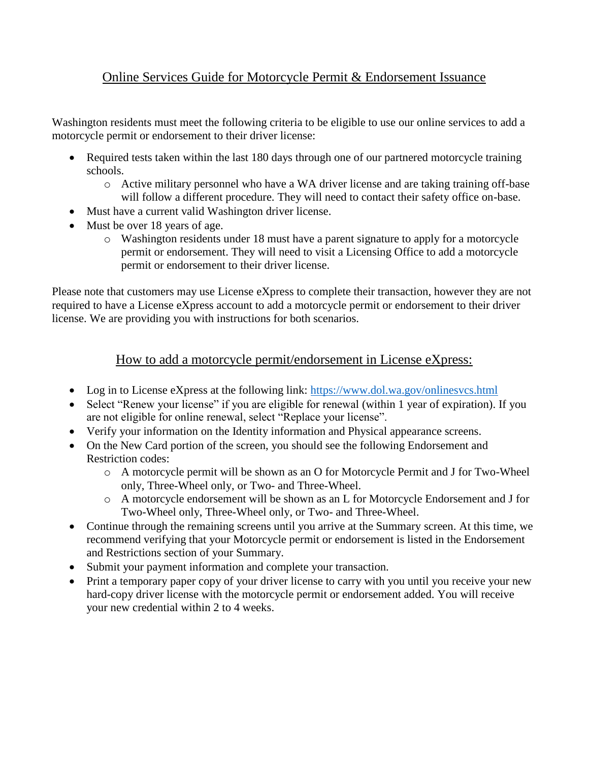## Online Services Guide for Motorcycle Permit & Endorsement Issuance

Washington residents must meet the following criteria to be eligible to use our online services to add a motorcycle permit or endorsement to their driver license:

- Required tests taken within the last 180 days through one of our partnered motorcycle training schools.
	- o Active military personnel who have a WA driver license and are taking training off-base will follow a different procedure. They will need to contact their safety office on-base.
- Must have a current valid Washington driver license.
- Must be over 18 years of age.
	- o Washington residents under 18 must have a parent signature to apply for a motorcycle permit or endorsement. They will need to visit a Licensing Office to add a motorcycle permit or endorsement to their driver license.

Please note that customers may use License eXpress to complete their transaction, however they are not required to have a License eXpress account to add a motorcycle permit or endorsement to their driver license. We are providing you with instructions for both scenarios.

## How to add a motorcycle permit/endorsement in License eXpress:

- Log in to License eXpress at the following link: <https://www.dol.wa.gov/onlinesvcs.html>
- Select "Renew your license" if you are eligible for renewal (within 1 year of expiration). If you are not eligible for online renewal, select "Replace your license".
- Verify your information on the Identity information and Physical appearance screens.
- On the New Card portion of the screen, you should see the following Endorsement and Restriction codes:
	- o A motorcycle permit will be shown as an O for Motorcycle Permit and J for Two-Wheel only, Three-Wheel only, or Two- and Three-Wheel.
	- o A motorcycle endorsement will be shown as an L for Motorcycle Endorsement and J for Two-Wheel only, Three-Wheel only, or Two- and Three-Wheel.
- Continue through the remaining screens until you arrive at the Summary screen. At this time, we recommend verifying that your Motorcycle permit or endorsement is listed in the Endorsement and Restrictions section of your Summary.
- Submit your payment information and complete your transaction.
- Print a temporary paper copy of your driver license to carry with you until you receive your new hard-copy driver license with the motorcycle permit or endorsement added. You will receive your new credential within 2 to 4 weeks.